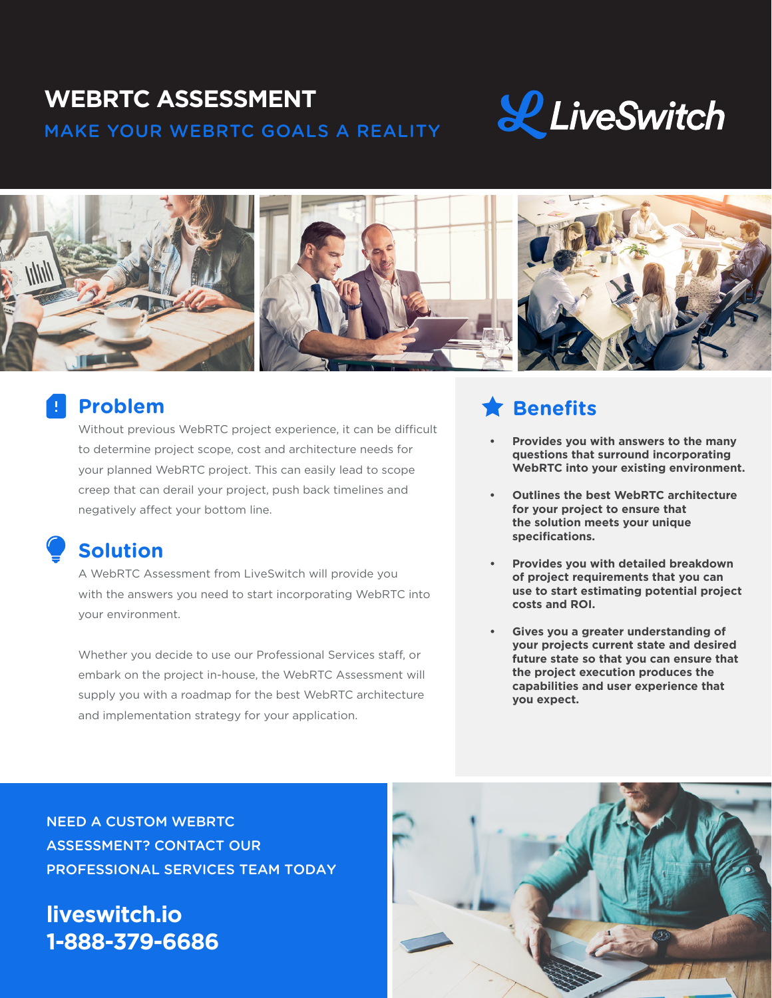# **WEBRTC ASSESSMENT** MAKE YOUR WEBRTC GOALS A REALITY





## **Problem**

Without previous WebRTC project experience, it can be difficult to determine project scope, cost and architecture needs for your planned WebRTC project. This can easily lead to scope creep that can derail your project, push back timelines and negatively affect your bottom line.

## **Solution**

A WebRTC Assessment from LiveSwitch will provide you with the answers you need to start incorporating WebRTC into your environment.

Whether you decide to use our Professional Services staff, or embark on the project in-house, the WebRTC Assessment will supply you with a roadmap for the best WebRTC architecture and implementation strategy for your application.

# **Benefits**

- **• Provides you with answers to the many questions that surround incorporating WebRTC into your existing environment.**
- **• Outlines the best WebRTC architecture for your project to ensure that the solution meets your unique specifications.**
- **• Provides you with detailed breakdown of project requirements that you can use to start estimating potential project costs and ROI.**
- **• Gives you a greater understanding of your projects current state and desired future state so that you can ensure that the project execution produces the capabilities and user experience that you expect.**

NEED A CUSTOM WEBRTC ASSESSMENT? CONTACT OUR PROFESSIONAL SERVICES TEAM TODAY

# **liveswitch.io 1-888-379-6686**